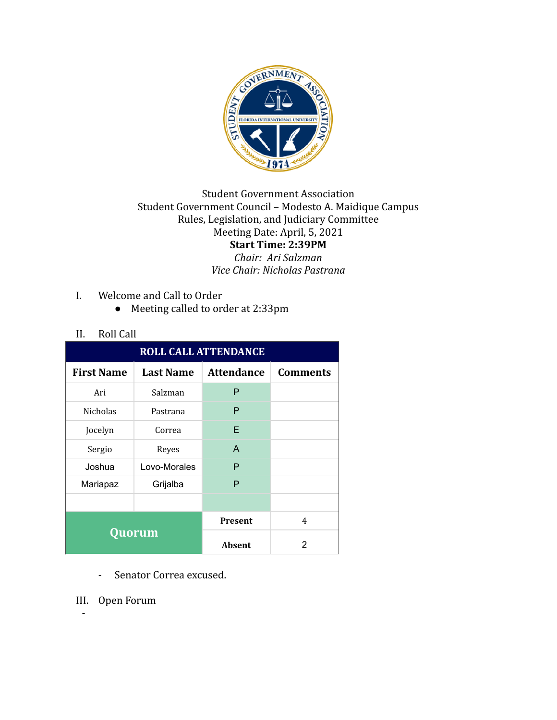

### **Student Government Association** Student Government Council - Modesto A. Maidique Campus Rules, Legislation, and Judiciary Committee Meeting Date: April, 5, 2021 **Start Time: 2:39PM** *Chair: Ari Salzman*

*Vice Chair: Nicholas Pastrana*

- I. Welcome and Call to Order
	- Meeting called to order at 2:33pm

### II. Roll Call

| <b>ROLL CALL ATTENDANCE</b> |                  |                   |                 |  |  |
|-----------------------------|------------------|-------------------|-----------------|--|--|
| <b>First Name</b>           | <b>Last Name</b> | <b>Attendance</b> | <b>Comments</b> |  |  |
| Ari                         | Salzman          | Р                 |                 |  |  |
| <b>Nicholas</b>             | Pastrana         | P                 |                 |  |  |
| Jocelyn                     | Correa           | E                 |                 |  |  |
| Sergio                      | Reyes            | $\mathsf{A}$      |                 |  |  |
| Joshua                      | Lovo-Morales     | P                 |                 |  |  |
| Mariapaz                    | Grijalba         | P                 |                 |  |  |
|                             |                  |                   |                 |  |  |
| <b>Quorum</b>               |                  | <b>Present</b>    | 4               |  |  |
|                             |                  | Absent            | 2               |  |  |

- Senator Correa excused.
- III. Open Forum

-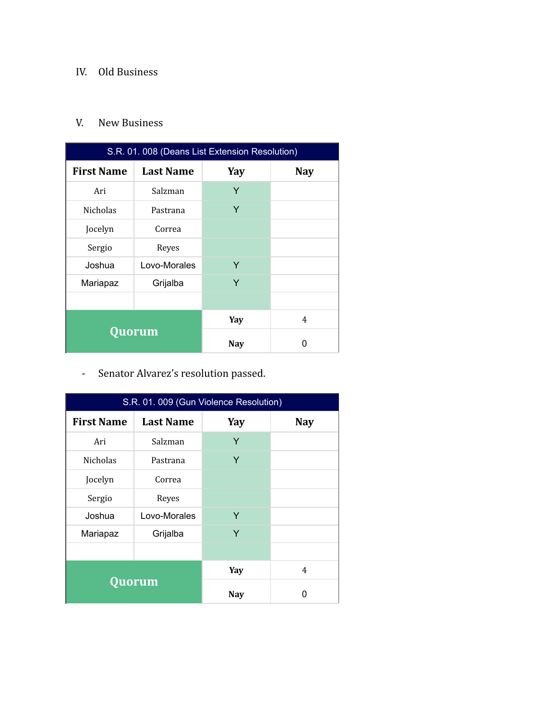## IV. Old Business

# V. New Business

| S.R. 01. 008 (Deans List Extension Resolution) |                  |            |            |  |
|------------------------------------------------|------------------|------------|------------|--|
| <b>First Name</b>                              | <b>Last Name</b> | Yay        | <b>Nay</b> |  |
| Ari                                            | Salzman          | Y          |            |  |
| <b>Nicholas</b>                                | Pastrana         | Y          |            |  |
| Jocelyn                                        | Correa           |            |            |  |
| Sergio                                         | Reyes            |            |            |  |
| Joshua                                         | Lovo-Morales     | Υ          |            |  |
| Mariapaz                                       | Grijalba         | Y          |            |  |
|                                                |                  |            |            |  |
| <b>Quorum</b>                                  |                  | Yay        | 4          |  |
|                                                |                  | <b>Nay</b> | 0          |  |

- Senator Alvarez's resolution passed.

| S.R. 01. 009 (Gun Violence Resolution) |                  |            |            |  |
|----------------------------------------|------------------|------------|------------|--|
| <b>First Name</b>                      | <b>Last Name</b> | Yay        | <b>Nay</b> |  |
| Ari                                    | Salzman          | Y          |            |  |
| <b>Nicholas</b>                        | Pastrana         | Y          |            |  |
| Jocelyn                                | Correa           |            |            |  |
| Sergio                                 | Reyes            |            |            |  |
| Joshua                                 | Lovo-Morales     | Y          |            |  |
| Mariapaz                               | Grijalba         | Y          |            |  |
|                                        |                  |            |            |  |
| Quorum                                 |                  | Yay        | 4          |  |
|                                        |                  | <b>Nay</b> | ი          |  |